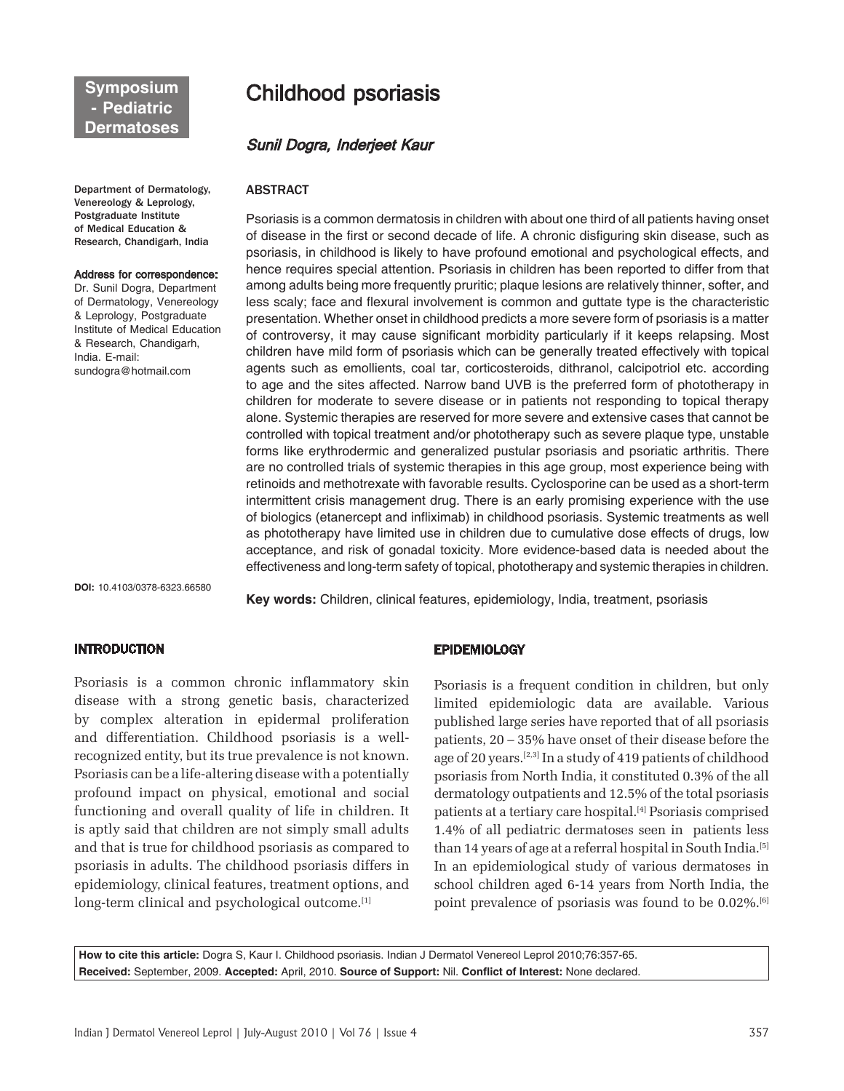## **Symposium - Pediatric Dermatoses**

Department of Dermatology, Venereology & Leprology, Postgraduate Institute of Medical Education & Research, Chandigarh, India

#### Address for correspondence:

Dr. Sunil Dogra, Department of Dermatology, Venereology & Leprology, Postgraduate Institute of Medical Education & Research, Chandigarh, India. E-mail: sundogra@hotmail.com

# Childhood psoriasis

## Sunil Dogra, Inderjeet Kaur

## ABSTRACT

Psoriasis is a common dermatosis in children with about one third of all patients having onset of disease in the first or second decade of life. A chronic disfiguring skin disease, such as psoriasis, in childhood is likely to have profound emotional and psychological effects, and hence requires special attention. Psoriasis in children has been reported to differ from that among adults being more frequently pruritic; plaque lesions are relatively thinner, softer, and less scaly; face and flexural involvement is common and guttate type is the characteristic presentation. Whether onset in childhood predicts a more severe form of psoriasis is a matter of controversy, it may cause significant morbidity particularly if it keeps relapsing. Most children have mild form of psoriasis which can be generally treated effectively with topical agents such as emollients, coal tar, corticosteroids, dithranol, calcipotriol etc. according to age and the sites affected. Narrow band UVB is the preferred form of phototherapy in children for moderate to severe disease or in patients not responding to topical therapy alone. Systemic therapies are reserved for more severe and extensive cases that cannot be controlled with topical treatment and/or phototherapy such as severe plaque type, unstable forms like erythrodermic and generalized pustular psoriasis and psoriatic arthritis. There are no controlled trials of systemic therapies in this age group, most experience being with retinoids and methotrexate with favorable results. Cyclosporine can be used as a short-term intermittent crisis management drug. There is an early promising experience with the use of biologics (etanercept and infliximab) in childhood psoriasis. Systemic treatments as well as phototherapy have limited use in children due to cumulative dose effects of drugs, low acceptance, and risk of gonadal toxicity. More evidence-based data is needed about the effectiveness and long-term safety of topical, phototherapy and systemic therapies in children.

**DOI:** 10.4103/0378-6323.66580

**Key words:** Children, clinical features, epidemiology, India, treatment, psoriasis

#### INTRODUCTION

Psoriasis is a common chronic inflammatory skin disease with a strong genetic basis, characterized by complex alteration in epidermal proliferation and differentiation. Childhood psoriasis is a wellrecognized entity, but its true prevalence is not known. Psoriasis can be a life-altering disease with a potentially profound impact on physical, emotional and social functioning and overall quality of life in children. It is aptly said that children are not simply small adults and that is true for childhood psoriasis as compared to psoriasis in adults. The childhood psoriasis differs in epidemiology, clinical features, treatment options, and long-term clinical and psychological outcome.<sup>[1]</sup>

## EPIDEMIOLOGY

Psoriasis is a frequent condition in children, but only limited epidemiologic data are available. Various published large series have reported that of all psoriasis patients, 20 – 35% have onset of their disease before the age of 20 years.[2,3] In a study of 419 patients of childhood psoriasis from North India, it constituted 0.3% of the all dermatology outpatients and 12.5% of the total psoriasis patients at a tertiary care hospital.<sup>[4]</sup> Psoriasis comprised 1.4% of all pediatric dermatoses seen in patients less than 14 years of age at a referral hospital in South India.[5] In an epidemiological study of various dermatoses in school children aged 6-14 years from North India, the point prevalence of psoriasis was found to be 0.02%.[6]

**How to cite this article:** Dogra S, Kaur I. Childhood psoriasis. Indian J Dermatol Venereol Leprol 2010;76:357-65. **Received:** September, 2009. **Accepted:** April, 2010. **Source of Support:** Nil. **Conflict of Interest:** None declared.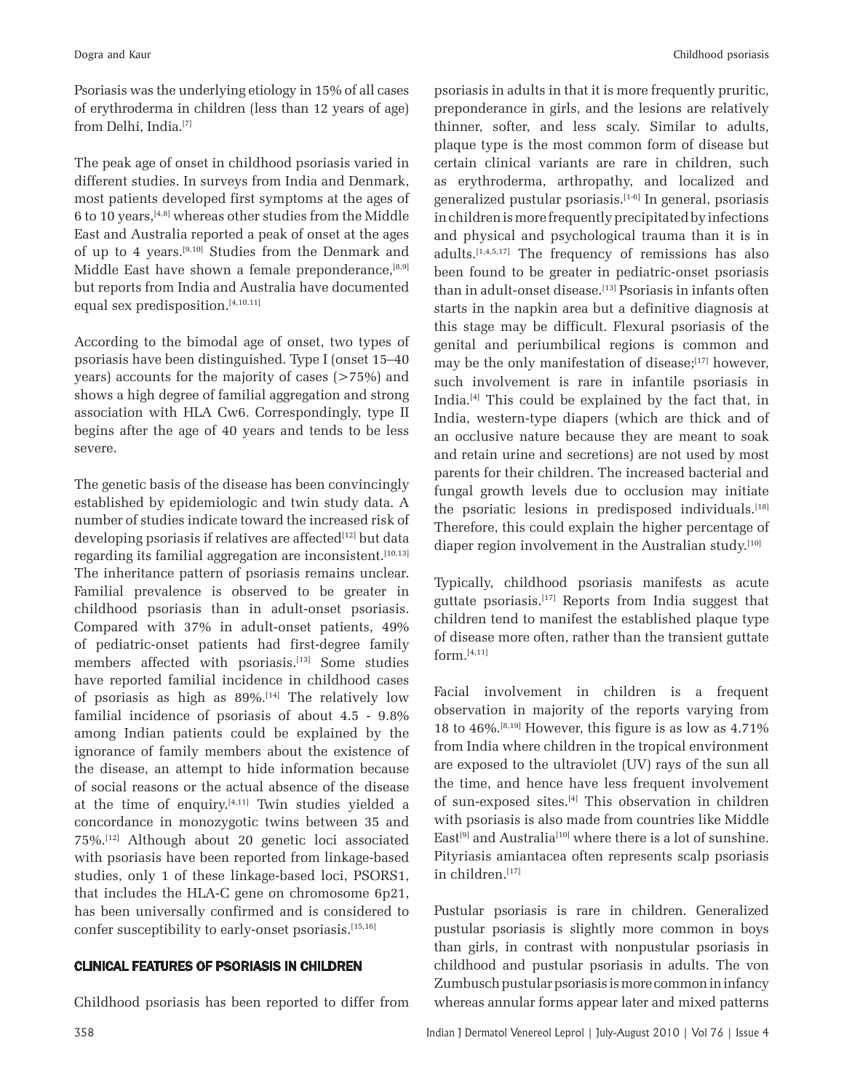Psoriasis was the underlying etiology in 15% of all cases of erythroderma in children (less than 12 years of age) from Delhi, India.[7]

The peak age of onset in childhood psoriasis varied in different studies. In surveys from India and Denmark, most patients developed first symptoms at the ages of 6 to 10 years,[4,8] whereas other studies from the Middle East and Australia reported a peak of onset at the ages of up to 4 years.[9,10] Studies from the Denmark and Middle East have shown a female preponderance, [8,9] but reports from India and Australia have documented equal sex predisposition. $[4,10,11]$ 

According to the bimodal age of onset, two types of psoriasis have been distinguished. Type I (onset 15–40 years) accounts for the majority of cases (>75%) and shows a high degree of familial aggregation and strong association with HLA Cw6. Correspondingly, type II begins after the age of 40 years and tends to be less severe.

The genetic basis of the disease has been convincingly established by epidemiologic and twin study data. A number of studies indicate toward the increased risk of developing psoriasis if relatives are affected<sup>[12]</sup> but data regarding its familial aggregation are inconsistent.<sup>[10,13]</sup> The inheritance pattern of psoriasis remains unclear. Familial prevalence is observed to be greater in childhood psoriasis than in adult-onset psoriasis. Compared with 37% in adult-onset patients, 49% of pediatric-onset patients had first-degree family members affected with psoriasis.<sup>[13]</sup> Some studies have reported familial incidence in childhood cases of psoriasis as high as  $89\%$ .<sup>[14]</sup> The relatively low familial incidence of psoriasis of about 4.5 - 9.8% among Indian patients could be explained by the ignorance of family members about the existence of the disease, an attempt to hide information because of social reasons or the actual absence of the disease at the time of enquiry.[4,11] Twin studies yielded a concordance in monozygotic twins between 35 and 75%.[12] Although about 20 genetic loci associated with psoriasis have been reported from linkage-based studies, only 1 of these linkage-based loci, PSORS1, that includes the HLA-C gene on chromosome 6p21, has been universally confirmed and is considered to confer susceptibility to early-onset psoriasis.[15,16]

## CLINICAL FEATURES OF PSORIASIS IN CHILDREN

Childhood psoriasis has been reported to differ from

psoriasis in adults in that it is more frequently pruritic, preponderance in girls, and the lesions are relatively thinner, softer, and less scaly. Similar to adults, plaque type is the most common form of disease but certain clinical variants are rare in children, such as erythroderma, arthropathy, and localized and generalized pustular psoriasis.[1-6] In general, psoriasis in children is more frequently precipitated by infections and physical and psychological trauma than it is in adults.[1,4,5,17] The frequency of remissions has also been found to be greater in pediatric-onset psoriasis than in adult-onset disease.<sup>[13]</sup> Psoriasis in infants often starts in the napkin area but a definitive diagnosis at this stage may be difficult. Flexural psoriasis of the genital and periumbilical regions is common and may be the only manifestation of disease;[17] however, such involvement is rare in infantile psoriasis in India.[4] This could be explained by the fact that, in India, western-type diapers (which are thick and of an occlusive nature because they are meant to soak and retain urine and secretions) are not used by most parents for their children. The increased bacterial and fungal growth levels due to occlusion may initiate the psoriatic lesions in predisposed individuals.<sup>[18]</sup> Therefore, this could explain the higher percentage of diaper region involvement in the Australian study.<sup>[10]</sup>

Typically, childhood psoriasis manifests as acute guttate psoriasis.[17] Reports from India suggest that children tend to manifest the established plaque type of disease more often, rather than the transient guttate  $form.$ [4,11]

Facial involvement in children is a frequent observation in majority of the reports varying from 18 to  $46\%$ . [8,19] However, this figure is as low as  $4.71\%$ from India where children in the tropical environment are exposed to the ultraviolet (UV) rays of the sun all the time, and hence have less frequent involvement of sun-exposed sites.[4] This observation in children with psoriasis is also made from countries like Middle  $East<sup>[9]</sup>$  and Australia<sup>[10]</sup> where there is a lot of sunshine. Pityriasis amiantacea often represents scalp psoriasis in children.[17]

Pustular psoriasis is rare in children. Generalized pustular psoriasis is slightly more common in boys than girls, in contrast with nonpustular psoriasis in childhood and pustular psoriasis in adults. The von Zumbusch pustular psoriasis is more common in infancy whereas annular forms appear later and mixed patterns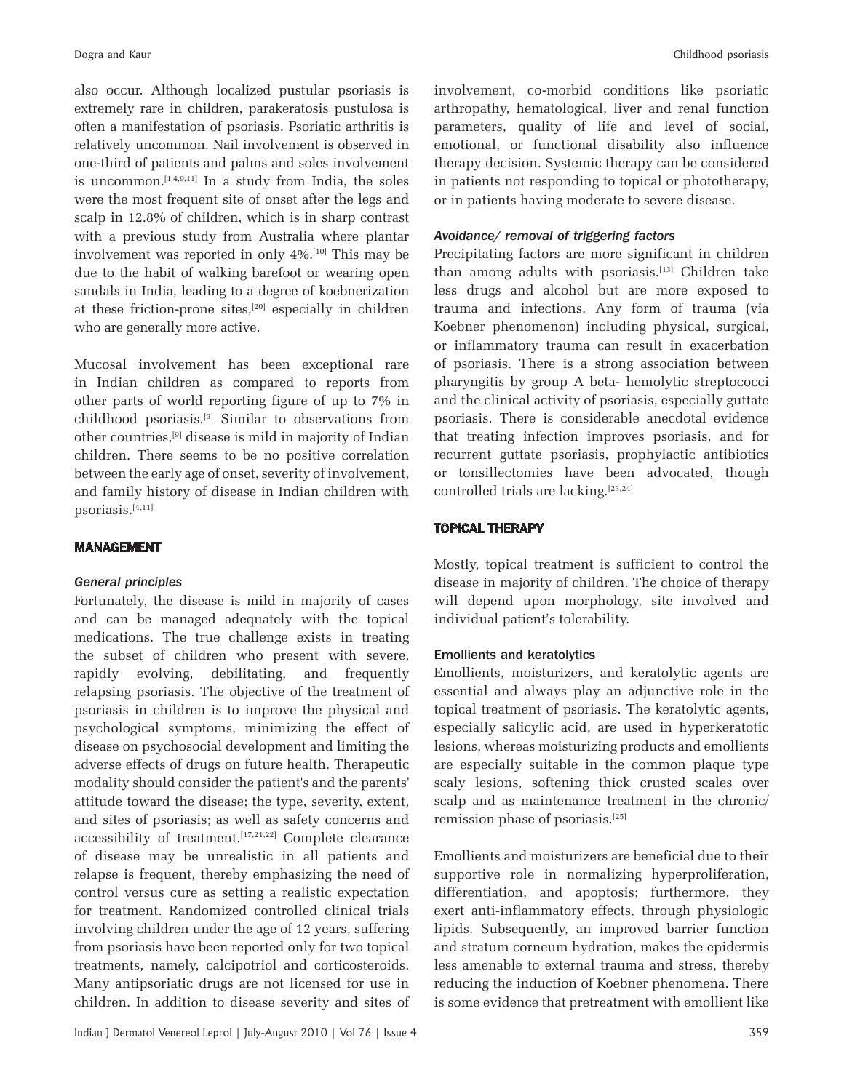also occur. Although localized pustular psoriasis is extremely rare in children, parakeratosis pustulosa is often a manifestation of psoriasis. Psoriatic arthritis is relatively uncommon. Nail involvement is observed in one-third of patients and palms and soles involvement is uncommon. $[1,4,9,11]$  In a study from India, the soles were the most frequent site of onset after the legs and scalp in 12.8% of children, which is in sharp contrast with a previous study from Australia where plantar involvement was reported in only 4%.[10] This may be due to the habit of walking barefoot or wearing open sandals in India, leading to a degree of koebnerization at these friction-prone sites,<sup>[20]</sup> especially in children who are generally more active.

Mucosal involvement has been exceptional rare in Indian children as compared to reports from other parts of world reporting figure of up to 7% in childhood psoriasis.[9] Similar to observations from other countries,[9] disease is mild in majority of Indian children. There seems to be no positive correlation between the early age of onset, severity of involvement, and family history of disease in Indian children with psoriasis.[4,11]

## MANAGEMENT

#### *General principles*

Fortunately, the disease is mild in majority of cases and can be managed adequately with the topical medications. The true challenge exists in treating the subset of children who present with severe, rapidly evolving, debilitating, and frequently relapsing psoriasis. The objective of the treatment of psoriasis in children is to improve the physical and psychological symptoms, minimizing the effect of disease on psychosocial development and limiting the adverse effects of drugs on future health. Therapeutic modality should consider the patient's and the parents' attitude toward the disease; the type, severity, extent, and sites of psoriasis; as well as safety concerns and accessibility of treatment.[17,21,22] Complete clearance of disease may be unrealistic in all patients and relapse is frequent, thereby emphasizing the need of control versus cure as setting a realistic expectation for treatment. Randomized controlled clinical trials involving children under the age of 12 years, suffering from psoriasis have been reported only for two topical treatments, namely, calcipotriol and corticosteroids. Many antipsoriatic drugs are not licensed for use in children. In addition to disease severity and sites of involvement, co-morbid conditions like psoriatic arthropathy, hematological, liver and renal function parameters, quality of life and level of social, emotional, or functional disability also influence therapy decision. Systemic therapy can be considered in patients not responding to topical or phototherapy, or in patients having moderate to severe disease.

## *Avoidance/ removal of triggering factors*

Precipitating factors are more significant in children than among adults with psoriasis.<sup>[13]</sup> Children take less drugs and alcohol but are more exposed to trauma and infections. Any form of trauma (via Koebner phenomenon) including physical, surgical, or inflammatory trauma can result in exacerbation of psoriasis. There is a strong association between pharyngitis by group A beta- hemolytic streptococci and the clinical activity of psoriasis, especially guttate psoriasis. There is considerable anecdotal evidence that treating infection improves psoriasis, and for recurrent guttate psoriasis, prophylactic antibiotics or tonsillectomies have been advocated, though controlled trials are lacking.[23,24]

## TOPICAL THERAPY

Mostly, topical treatment is sufficient to control the disease in majority of children. The choice of therapy will depend upon morphology, site involved and individual patient's tolerability.

## Emollients and keratolytics

Emollients, moisturizers, and keratolytic agents are essential and always play an adjunctive role in the topical treatment of psoriasis. The keratolytic agents, especially salicylic acid, are used in hyperkeratotic lesions, whereas moisturizing products and emollients are especially suitable in the common plaque type scaly lesions, softening thick crusted scales over scalp and as maintenance treatment in the chronic/ remission phase of psoriasis.[25]

Emollients and moisturizers are beneficial due to their supportive role in normalizing hyperproliferation, differentiation, and apoptosis; furthermore, they exert anti-inflammatory effects, through physiologic lipids. Subsequently, an improved barrier function and stratum corneum hydration, makes the epidermis less amenable to external trauma and stress, thereby reducing the induction of Koebner phenomena. There is some evidence that pretreatment with emollient like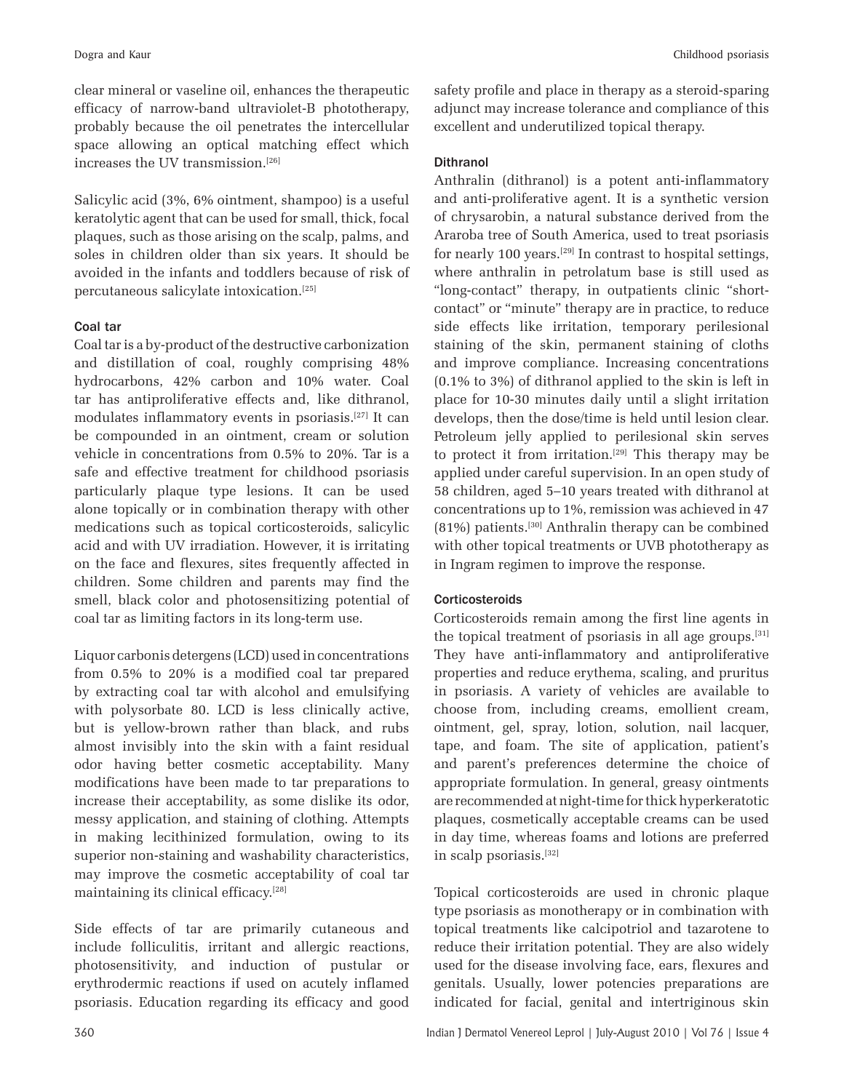clear mineral or vaseline oil, enhances the therapeutic efficacy of narrow-band ultraviolet-B phototherapy, probably because the oil penetrates the intercellular space allowing an optical matching effect which increases the UV transmission.[26]

Salicylic acid (3%, 6% ointment, shampoo) is a useful keratolytic agent that can be used for small, thick, focal plaques, such as those arising on the scalp, palms, and soles in children older than six years. It should be avoided in the infants and toddlers because of risk of percutaneous salicylate intoxication.[25]

## Coal tar

Coal tar is a by-product of the destructive carbonization and distillation of coal, roughly comprising 48% hydrocarbons, 42% carbon and 10% water. Coal tar has antiproliferative effects and, like dithranol, modulates inflammatory events in psoriasis.[27] It can be compounded in an ointment, cream or solution vehicle in concentrations from 0.5% to 20%. Tar is a safe and effective treatment for childhood psoriasis particularly plaque type lesions. It can be used alone topically or in combination therapy with other medications such as topical corticosteroids, salicylic acid and with UV irradiation. However, it is irritating on the face and flexures, sites frequently affected in children. Some children and parents may find the smell, black color and photosensitizing potential of coal tar as limiting factors in its long-term use.

Liquor carbonis detergens (LCD) used in concentrations from 0.5% to 20% is a modified coal tar prepared by extracting coal tar with alcohol and emulsifying with polysorbate 80. LCD is less clinically active, but is yellow-brown rather than black, and rubs almost invisibly into the skin with a faint residual odor having better cosmetic acceptability. Many modifications have been made to tar preparations to increase their acceptability, as some dislike its odor, messy application, and staining of clothing. Attempts in making lecithinized formulation, owing to its superior non-staining and washability characteristics, may improve the cosmetic acceptability of coal tar maintaining its clinical efficacy.[28]

Side effects of tar are primarily cutaneous and include folliculitis, irritant and allergic reactions, photosensitivity, and induction of pustular or erythrodermic reactions if used on acutely inflamed psoriasis. Education regarding its efficacy and good safety profile and place in therapy as a steroid-sparing adjunct may increase tolerance and compliance of this excellent and underutilized topical therapy.

## **Dithranol**

Anthralin (dithranol) is a potent anti-inflammatory and anti-proliferative agent. It is a synthetic version of chrysarobin, a natural substance derived from the Araroba tree of South America, used to treat psoriasis for nearly 100 years.[29] In contrast to hospital settings, where anthralin in petrolatum base is still used as "long-contact" therapy, in outpatients clinic "shortcontact" or "minute" therapy are in practice, to reduce side effects like irritation, temporary perilesional staining of the skin, permanent staining of cloths and improve compliance. Increasing concentrations (0.1% to 3%) of dithranol applied to the skin is left in place for 10-30 minutes daily until a slight irritation develops, then the dose/time is held until lesion clear. Petroleum jelly applied to perilesional skin serves to protect it from irritation.<sup>[29]</sup> This therapy may be applied under careful supervision. In an open study of 58 children, aged 5–10 years treated with dithranol at concentrations up to 1%, remission was achieved in 47 (81%) patients.[30] Anthralin therapy can be combined with other topical treatments or UVB phototherapy as in Ingram regimen to improve the response.

## **Corticosteroids**

Corticosteroids remain among the first line agents in the topical treatment of psoriasis in all age groups.<sup>[31]</sup> They have anti-inflammatory and antiproliferative properties and reduce erythema, scaling, and pruritus in psoriasis. A variety of vehicles are available to choose from, including creams, emollient cream, ointment, gel, spray, lotion, solution, nail lacquer, tape, and foam. The site of application, patient's and parent's preferences determine the choice of appropriate formulation. In general, greasy ointments are recommended at night-time for thick hyperkeratotic plaques, cosmetically acceptable creams can be used in day time, whereas foams and lotions are preferred in scalp psoriasis.[32]

Topical corticosteroids are used in chronic plaque type psoriasis as monotherapy or in combination with topical treatments like calcipotriol and tazarotene to reduce their irritation potential. They are also widely used for the disease involving face, ears, flexures and genitals. Usually, lower potencies preparations are indicated for facial, genital and intertriginous skin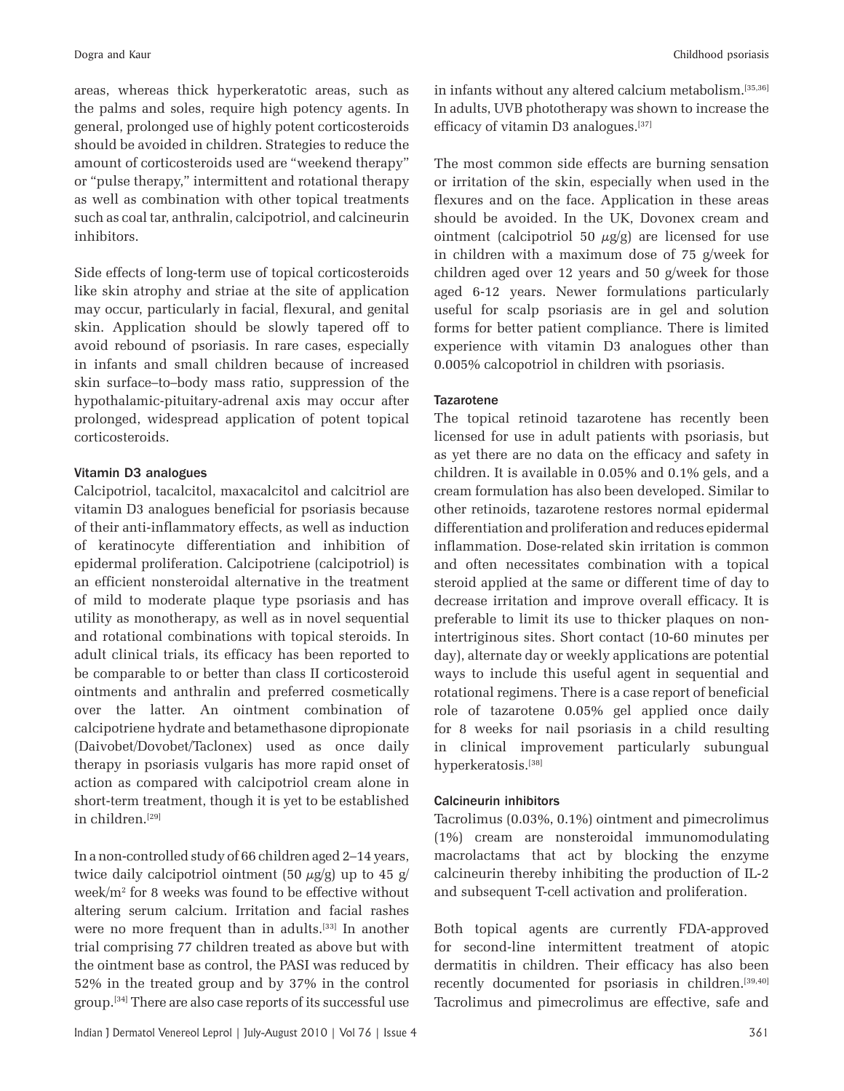areas, whereas thick hyperkeratotic areas, such as the palms and soles, require high potency agents. In general, prolonged use of highly potent corticosteroids should be avoided in children. Strategies to reduce the amount of corticosteroids used are "weekend therapy" or "pulse therapy," intermittent and rotational therapy as well as combination with other topical treatments such as coal tar, anthralin, calcipotriol, and calcineurin inhibitors.

Side effects of long-term use of topical corticosteroids like skin atrophy and striae at the site of application may occur, particularly in facial, flexural, and genital skin. Application should be slowly tapered off to avoid rebound of psoriasis. In rare cases, especially in infants and small children because of increased skin surface–to–body mass ratio, suppression of the hypothalamic-pituitary-adrenal axis may occur after prolonged, widespread application of potent topical corticosteroids.

## Vitamin D3 analogues

Calcipotriol, tacalcitol, maxacalcitol and calcitriol are vitamin D3 analogues beneficial for psoriasis because of their anti-inflammatory effects, as well as induction of keratinocyte differentiation and inhibition of epidermal proliferation. Calcipotriene (calcipotriol) is an efficient nonsteroidal alternative in the treatment of mild to moderate plaque type psoriasis and has utility as monotherapy, as well as in novel sequential and rotational combinations with topical steroids. In adult clinical trials, its efficacy has been reported to be comparable to or better than class II corticosteroid ointments and anthralin and preferred cosmetically over the latter. An ointment combination of calcipotriene hydrate and betamethasone dipropionate (Daivobet/Dovobet/Taclonex) used as once daily therapy in psoriasis vulgaris has more rapid onset of action as compared with calcipotriol cream alone in short-term treatment, though it is yet to be established in children.[29]

In a non-controlled study of 66 children aged 2–14 years, twice daily calcipotriol ointment (50  $\mu$ g/g) up to 45 g/ week/m2 for 8 weeks was found to be effective without altering serum calcium. Irritation and facial rashes were no more frequent than in adults.[33] In another trial comprising 77 children treated as above but with the ointment base as control, the PASI was reduced by 52% in the treated group and by 37% in the control group.[34] There are also case reports of its successful use

in infants without any altered calcium metabolism.<sup>[35,36]</sup> In adults, UVB phototherapy was shown to increase the efficacy of vitamin D3 analogues.[37]

The most common side effects are burning sensation or irritation of the skin, especially when used in the flexures and on the face. Application in these areas should be avoided. In the UK, Dovonex cream and ointment (calcipotriol 50  $\mu$ g/g) are licensed for use in children with a maximum dose of 75 g/week for children aged over 12 years and 50 g/week for those aged 6-12 years. Newer formulations particularly useful for scalp psoriasis are in gel and solution forms for better patient compliance. There is limited experience with vitamin D3 analogues other than 0.005% calcopotriol in children with psoriasis.

## **Tazarotene**

The topical retinoid tazarotene has recently been licensed for use in adult patients with psoriasis, but as yet there are no data on the efficacy and safety in children. It is available in 0.05% and 0.1% gels, and a cream formulation has also been developed. Similar to other retinoids, tazarotene restores normal epidermal differentiation and proliferation and reduces epidermal inflammation. Dose-related skin irritation is common and often necessitates combination with a topical steroid applied at the same or different time of day to decrease irritation and improve overall efficacy. It is preferable to limit its use to thicker plaques on nonintertriginous sites. Short contact (10-60 minutes per day), alternate day or weekly applications are potential ways to include this useful agent in sequential and rotational regimens. There is a case report of beneficial role of tazarotene 0.05% gel applied once daily for 8 weeks for nail psoriasis in a child resulting in clinical improvement particularly subungual hyperkeratosis.[38]

#### Calcineurin inhibitors

Tacrolimus (0.03%, 0.1%) ointment and pimecrolimus (1%) cream are nonsteroidal immunomodulating macrolactams that act by blocking the enzyme calcineurin thereby inhibiting the production of IL-2 and subsequent T-cell activation and proliferation.

Both topical agents are currently FDA-approved for second-line intermittent treatment of atopic dermatitis in children. Their efficacy has also been recently documented for psoriasis in children.<sup>[39,40]</sup> Tacrolimus and pimecrolimus are effective, safe and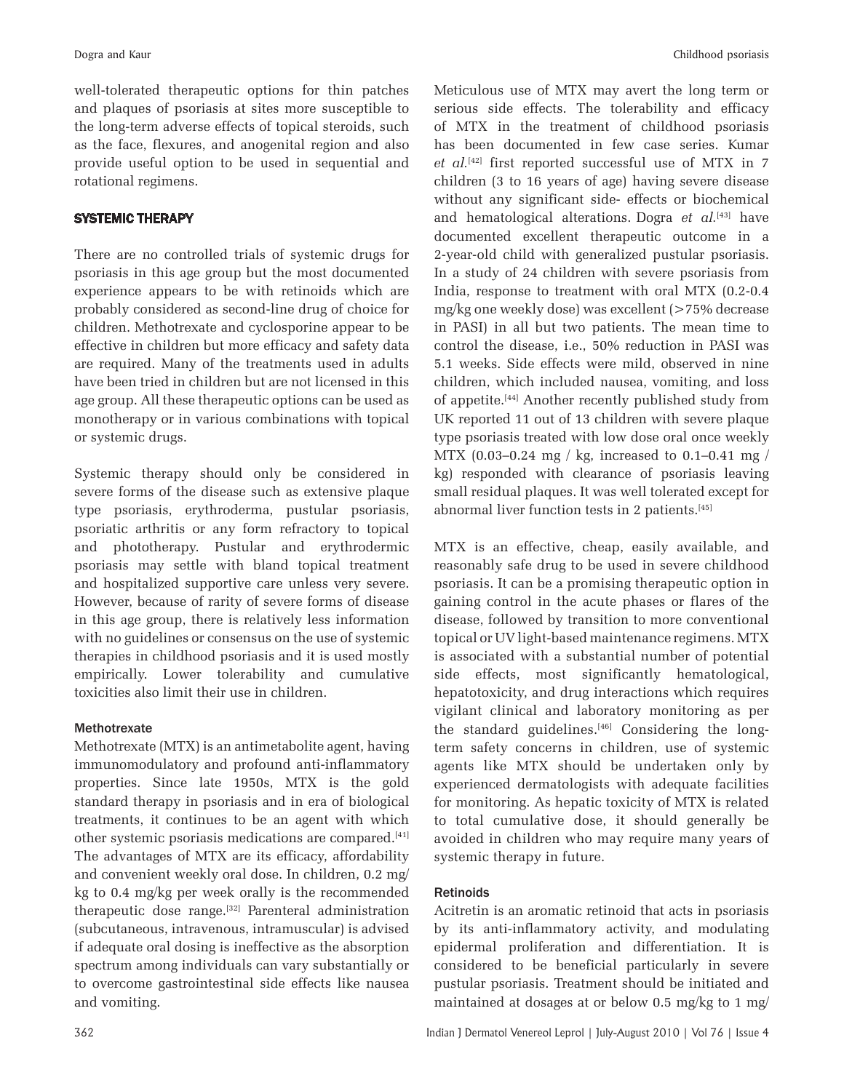well-tolerated therapeutic options for thin patches and plaques of psoriasis at sites more susceptible to the long-term adverse effects of topical steroids, such as the face, flexures, and anogenital region and also provide useful option to be used in sequential and rotational regimens.

## SYSTEMIC THERAPY

There are no controlled trials of systemic drugs for psoriasis in this age group but the most documented experience appears to be with retinoids which are probably considered as second-line drug of choice for children. Methotrexate and cyclosporine appear to be effective in children but more efficacy and safety data are required. Many of the treatments used in adults have been tried in children but are not licensed in this age group. All these therapeutic options can be used as monotherapy or in various combinations with topical or systemic drugs.

Systemic therapy should only be considered in severe forms of the disease such as extensive plaque type psoriasis, erythroderma, pustular psoriasis, psoriatic arthritis or any form refractory to topical and phototherapy. Pustular and erythrodermic psoriasis may settle with bland topical treatment and hospitalized supportive care unless very severe. However, because of rarity of severe forms of disease in this age group, there is relatively less information with no guidelines or consensus on the use of systemic therapies in childhood psoriasis and it is used mostly empirically. Lower tolerability and cumulative toxicities also limit their use in children.

## **Methotrexate**

Methotrexate (MTX) is an antimetabolite agent, having immunomodulatory and profound anti-inflammatory properties. Since late 1950s, MTX is the gold standard therapy in psoriasis and in era of biological treatments, it continues to be an agent with which other systemic psoriasis medications are compared.[41] The advantages of MTX are its efficacy, affordability and convenient weekly oral dose. In children, 0.2 mg/ kg to 0.4 mg/kg per week orally is the recommended therapeutic dose range.[32] Parenteral administration (subcutaneous, intravenous, intramuscular) is advised if adequate oral dosing is ineffective as the absorption spectrum among individuals can vary substantially or to overcome gastrointestinal side effects like nausea and vomiting.

Meticulous use of MTX may avert the long term or serious side effects. The tolerability and efficacy of MTX in the treatment of childhood psoriasis has been documented in few case series. Kumar *et al.*[42] first reported successful use of MTX in 7 children (3 to 16 years of age) having severe disease without any significant side- effects or biochemical and hematological alterations. Dogra *et al.*[43] have documented excellent therapeutic outcome in a 2-year-old child with generalized pustular psoriasis. In a study of 24 children with severe psoriasis from India, response to treatment with oral MTX (0.2-0.4 mg/kg one weekly dose) was excellent (>75% decrease in PASI) in all but two patients. The mean time to control the disease, i.e., 50% reduction in PASI was 5.1 weeks. Side effects were mild, observed in nine children, which included nausea, vomiting, and loss of appetite.[44] Another recently published study from UK reported 11 out of 13 children with severe plaque type psoriasis treated with low dose oral once weekly MTX (0.03–0.24 mg / kg, increased to 0.1–0.41 mg / kg) responded with clearance of psoriasis leaving small residual plaques. It was well tolerated except for abnormal liver function tests in 2 patients.[45]

MTX is an effective, cheap, easily available, and reasonably safe drug to be used in severe childhood psoriasis. It can be a promising therapeutic option in gaining control in the acute phases or flares of the disease, followed by transition to more conventional topical or UV light-based maintenance regimens. MTX is associated with a substantial number of potential side effects, most significantly hematological, hepatotoxicity, and drug interactions which requires vigilant clinical and laboratory monitoring as per the standard guidelines. $[46]$  Considering the longterm safety concerns in children, use of systemic agents like MTX should be undertaken only by experienced dermatologists with adequate facilities for monitoring. As hepatic toxicity of MTX is related to total cumulative dose, it should generally be avoided in children who may require many years of systemic therapy in future.

#### **Retinoids**

Acitretin is an aromatic retinoid that acts in psoriasis by its anti-inflammatory activity, and modulating epidermal proliferation and differentiation. It is considered to be beneficial particularly in severe pustular psoriasis. Treatment should be initiated and maintained at dosages at or below 0.5 mg/kg to 1 mg/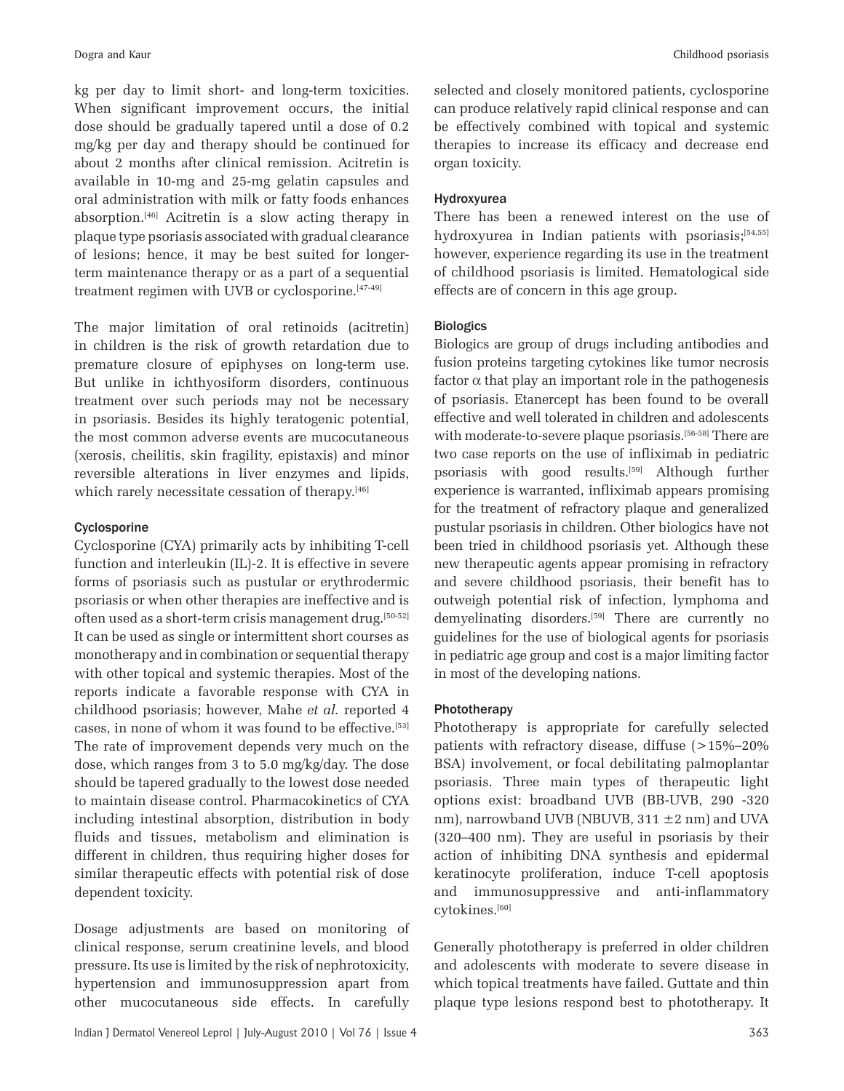kg per day to limit short- and long-term toxicities. When significant improvement occurs, the initial dose should be gradually tapered until a dose of 0.2 mg/kg per day and therapy should be continued for about 2 months after clinical remission. Acitretin is available in 10-mg and 25-mg gelatin capsules and oral administration with milk or fatty foods enhances absorption.[46] Acitretin is a slow acting therapy in plaque type psoriasis associated with gradual clearance of lesions; hence, it may be best suited for longerterm maintenance therapy or as a part of a sequential treatment regimen with UVB or cyclosporine.[47-49]

The major limitation of oral retinoids (acitretin) in children is the risk of growth retardation due to premature closure of epiphyses on long-term use. But unlike in ichthyosiform disorders, continuous treatment over such periods may not be necessary in psoriasis. Besides its highly teratogenic potential, the most common adverse events are mucocutaneous (xerosis, cheilitis, skin fragility, epistaxis) and minor reversible alterations in liver enzymes and lipids, which rarely necessitate cessation of therapy.<sup>[46]</sup>

## Cyclosporine

Cyclosporine (CYA) primarily acts by inhibiting T-cell function and interleukin (IL)-2. It is effective in severe forms of psoriasis such as pustular or erythrodermic psoriasis or when other therapies are ineffective and is often used as a short-term crisis management drug.[50-52] It can be used as single or intermittent short courses as monotherapy and in combination or sequential therapy with other topical and systemic therapies. Most of the reports indicate a favorable response with CYA in childhood psoriasis; however, Mahe *et al.* reported 4 cases, in none of whom it was found to be effective.<sup>[53]</sup> The rate of improvement depends very much on the dose, which ranges from 3 to 5.0 mg/kg/day. The dose should be tapered gradually to the lowest dose needed to maintain disease control. Pharmacokinetics of CYA including intestinal absorption, distribution in body fluids and tissues, metabolism and elimination is different in children, thus requiring higher doses for similar therapeutic effects with potential risk of dose dependent toxicity.

Dosage adjustments are based on monitoring of clinical response, serum creatinine levels, and blood pressure. Its use is limited by the risk of nephrotoxicity, hypertension and immunosuppression apart from other mucocutaneous side effects. In carefully

selected and closely monitored patients, cyclosporine can produce relatively rapid clinical response and can be effectively combined with topical and systemic therapies to increase its efficacy and decrease end organ toxicity.

## Hydroxyurea

There has been a renewed interest on the use of hydroxyurea in Indian patients with psoriasis;<sup>[54,55]</sup> however, experience regarding its use in the treatment of childhood psoriasis is limited. Hematological side effects are of concern in this age group.

## **Biologics**

Biologics are group of drugs including antibodies and fusion proteins targeting cytokines like tumor necrosis factor  $\alpha$  that play an important role in the pathogenesis of psoriasis. Etanercept has been found to be overall effective and well tolerated in children and adolescents with moderate-to-severe plaque psoriasis.<sup>[56-58]</sup> There are two case reports on the use of infliximab in pediatric psoriasis with good results.[59] Although further experience is warranted, infliximab appears promising for the treatment of refractory plaque and generalized pustular psoriasis in children. Other biologics have not been tried in childhood psoriasis yet. Although these new therapeutic agents appear promising in refractory and severe childhood psoriasis, their benefit has to outweigh potential risk of infection, lymphoma and demyelinating disorders.[59] There are currently no guidelines for the use of biological agents for psoriasis in pediatric age group and cost is a major limiting factor in most of the developing nations.

## Phototherapy

Phototherapy is appropriate for carefully selected patients with refractory disease, diffuse (>15%–20% BSA) involvement, or focal debilitating palmoplantar psoriasis. Three main types of therapeutic light options exist: broadband UVB (BB-UVB, 290 -320 nm), narrowband UVB (NBUVB, 311 ±2 nm) and UVA (320–400 nm). They are useful in psoriasis by their action of inhibiting DNA synthesis and epidermal keratinocyte proliferation, induce T-cell apoptosis and immunosuppressive and anti-inflammatory cytokines.[60]

Generally phototherapy is preferred in older children and adolescents with moderate to severe disease in which topical treatments have failed. Guttate and thin plaque type lesions respond best to phototherapy. It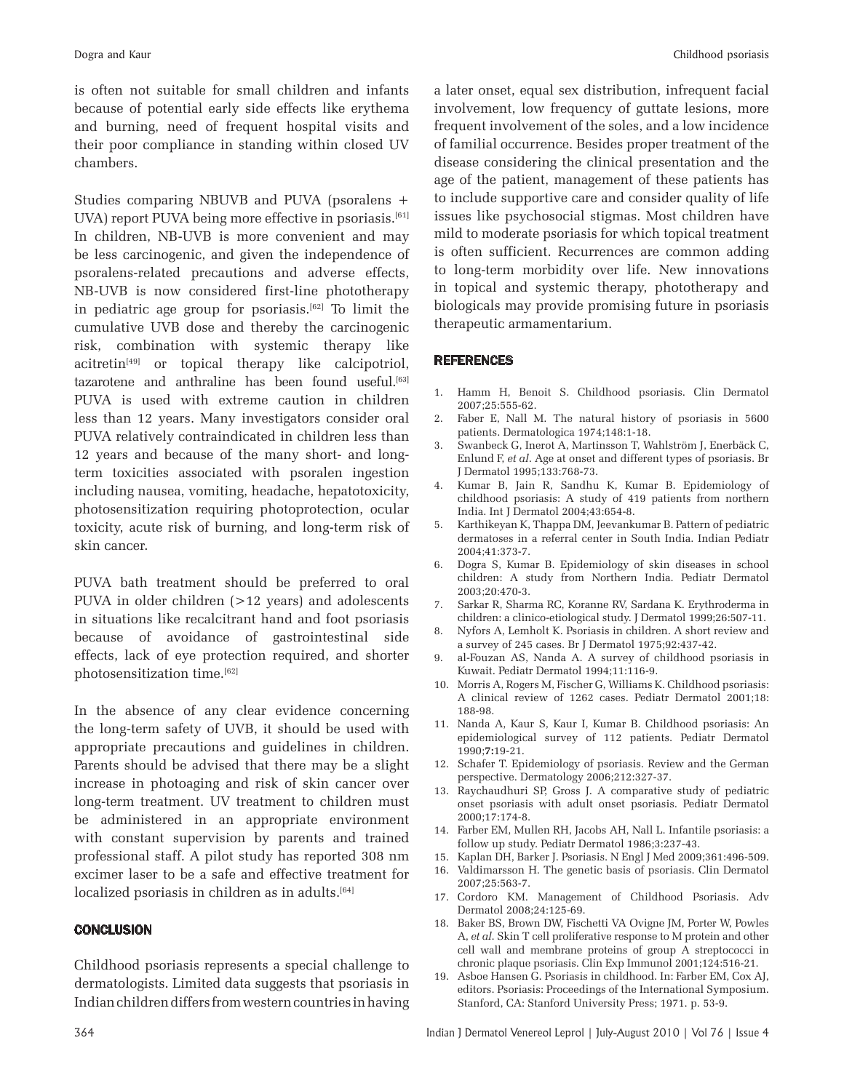is often not suitable for small children and infants because of potential early side effects like erythema and burning, need of frequent hospital visits and their poor compliance in standing within closed UV chambers.

Studies comparing NBUVB and PUVA (psoralens + UVA) report PUVA being more effective in psoriasis.<sup>[61]</sup> In children, NB-UVB is more convenient and may be less carcinogenic, and given the independence of psoralens-related precautions and adverse effects, NB-UVB is now considered first-line phototherapy in pediatric age group for psoriasis.<sup>[62]</sup> To limit the cumulative UVB dose and thereby the carcinogenic risk, combination with systemic therapy like acitretin[49] or topical therapy like calcipotriol, tazarotene and anthraline has been found useful.<sup>[63]</sup> PUVA is used with extreme caution in children less than 12 years. Many investigators consider oral PUVA relatively contraindicated in children less than 12 years and because of the many short- and longterm toxicities associated with psoralen ingestion including nausea, vomiting, headache, hepatotoxicity, photosensitization requiring photoprotection, ocular toxicity, acute risk of burning, and long-term risk of skin cancer.

PUVA bath treatment should be preferred to oral PUVA in older children (>12 years) and adolescents in situations like recalcitrant hand and foot psoriasis because of avoidance of gastrointestinal side effects, lack of eye protection required, and shorter photosensitization time.[62]

In the absence of any clear evidence concerning the long-term safety of UVB, it should be used with appropriate precautions and guidelines in children. Parents should be advised that there may be a slight increase in photoaging and risk of skin cancer over long-term treatment. UV treatment to children must be administered in an appropriate environment with constant supervision by parents and trained professional staff. A pilot study has reported 308 nm excimer laser to be a safe and effective treatment for localized psoriasis in children as in adults.<sup>[64]</sup>

## **CONCLUSION**

Childhood psoriasis represents a special challenge to dermatologists. Limited data suggests that psoriasis in Indian children differs from western countries in having a later onset, equal sex distribution, infrequent facial involvement, low frequency of guttate lesions, more frequent involvement of the soles, and a low incidence of familial occurrence. Besides proper treatment of the disease considering the clinical presentation and the age of the patient, management of these patients has to include supportive care and consider quality of life issues like psychosocial stigmas. Most children have mild to moderate psoriasis for which topical treatment is often sufficient. Recurrences are common adding to long-term morbidity over life. New innovations in topical and systemic therapy, phototherapy and biologicals may provide promising future in psoriasis therapeutic armamentarium.

## REFERENCES

- 1. Hamm H, Benoit S. Childhood psoriasis. Clin Dermatol 2007;25:555-62.
- 2. Faber E, Nall M. The natural history of psoriasis in 5600 patients. Dermatologica 1974;148:1-18.
- 3. Swanbeck G, Inerot A, Martinsson T, Wahlström J, Enerbäck C, Enlund F, *et al*. Age at onset and different types of psoriasis. Br J Dermatol 1995;133:768-73.
- 4. Kumar B, Jain R, Sandhu K, Kumar B. Epidemiology of childhood psoriasis: A study of 419 patients from northern India. Int J Dermatol 2004;43:654-8.
- 5. Karthikeyan K, Thappa DM, Jeevankumar B. Pattern of pediatric dermatoses in a referral center in South India. Indian Pediatr 2004;41:373-7.
- 6. Dogra S, Kumar B. Epidemiology of skin diseases in school children: A study from Northern India. Pediatr Dermatol 2003;20:470-3.
- 7. Sarkar R, Sharma RC, Koranne RV, Sardana K. Erythroderma in children: a clinico-etiological study. J Dermatol 1999;26:507-11.
- 8. Nyfors A, Lemholt K. Psoriasis in children. A short review and a survey of 245 cases. Br J Dermatol 1975;92:437-42.
- 9. al-Fouzan AS, Nanda A. A survey of childhood psoriasis in Kuwait. Pediatr Dermatol 1994;11:116-9.
- 10. Morris A, Rogers M, Fischer G, Williams K. Childhood psoriasis: A clinical review of 1262 cases. Pediatr Dermatol 2001;18: 188-98.
- 11. Nanda A, Kaur S, Kaur I, Kumar B. Childhood psoriasis: An epidemiological survey of 112 patients. Pediatr Dermatol 1990;**7:**19-21.
- 12. Schafer T. Epidemiology of psoriasis. Review and the German perspective. Dermatology 2006;212:327-37.
- 13. Raychaudhuri SP, Gross J. A comparative study of pediatric onset psoriasis with adult onset psoriasis. Pediatr Dermatol 2000;17:174-8.
- 14. Farber EM, Mullen RH, Jacobs AH, Nall L. Infantile psoriasis: a follow up study. Pediatr Dermatol 1986;3:237-43.
- 15. Kaplan DH, Barker J. Psoriasis. N Engl J Med 2009;361:496-509.
- 16. Valdimarsson H. The genetic basis of psoriasis. Clin Dermatol 2007;25:563-7.
- 17. Cordoro KM. Management of Childhood Psoriasis. Adv Dermatol 2008;24:125-69.
- 18. Baker BS, Brown DW, Fischetti VA Ovigne JM, Porter W, Powles A, *et al*. Skin T cell proliferative response to M protein and other cell wall and membrane proteins of group A streptococci in chronic plaque psoriasis. Clin Exp Immunol 2001;124:516-21.
- 19. Asboe Hansen G. Psoriasis in childhood. In: Farber EM, Cox AJ, editors. Psoriasis: Proceedings of the International Symposium. Stanford, CA: Stanford University Press; 1971. p. 53-9.